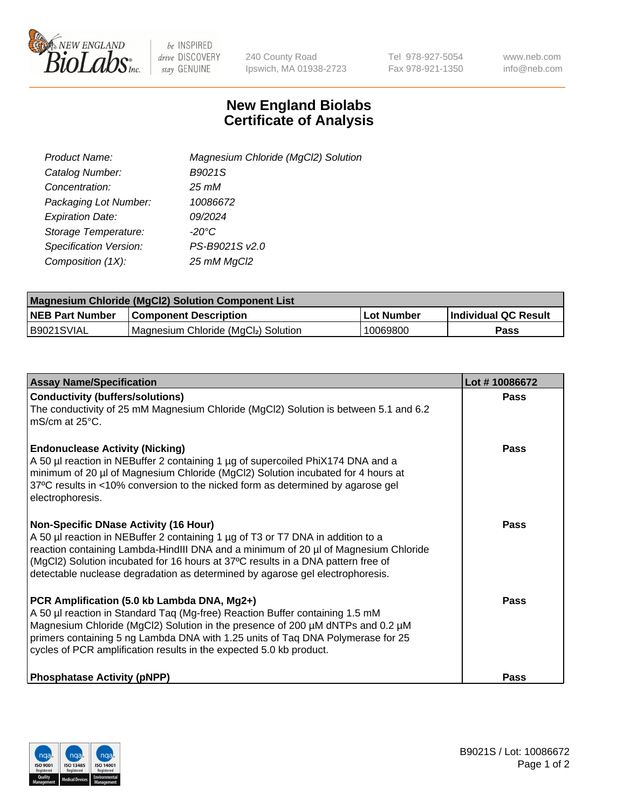

 $be$  INSPIRED drive DISCOVERY stay GENUINE

240 County Road Ipswich, MA 01938-2723 Tel 978-927-5054 Fax 978-921-1350 www.neb.com info@neb.com

## **New England Biolabs Certificate of Analysis**

| Product Name:           | Magnesium Chloride (MgCl2) Solution |
|-------------------------|-------------------------------------|
| Catalog Number:         | B9021S                              |
| Concentration:          | 25 mM                               |
| Packaging Lot Number:   | 10086672                            |
| <b>Expiration Date:</b> | 09/2024                             |
| Storage Temperature:    | $-20^{\circ}$ C                     |
| Specification Version:  | PS-B9021S v2.0                      |
| Composition (1X):       | 25 mM MgCl2                         |

| <b>Magnesium Chloride (MgCl2) Solution Component List</b> |                                     |            |                             |  |  |
|-----------------------------------------------------------|-------------------------------------|------------|-----------------------------|--|--|
| <b>NEB Part Number</b>                                    | <b>Component Description</b>        | Lot Number | <b>Individual QC Result</b> |  |  |
| B9021SVIAL                                                | Magnesium Chloride (MgCl2) Solution | 10069800   | Pass                        |  |  |

| <b>Assay Name/Specification</b>                                                                                                                                                                                                                                                                                                                                                             | Lot #10086672 |
|---------------------------------------------------------------------------------------------------------------------------------------------------------------------------------------------------------------------------------------------------------------------------------------------------------------------------------------------------------------------------------------------|---------------|
| <b>Conductivity (buffers/solutions)</b><br>The conductivity of 25 mM Magnesium Chloride (MgCl2) Solution is between 5.1 and 6.2<br>l mS/cm at 25°C.                                                                                                                                                                                                                                         | <b>Pass</b>   |
| <b>Endonuclease Activity (Nicking)</b><br>A 50 µl reaction in NEBuffer 2 containing 1 µg of supercoiled PhiX174 DNA and a<br>minimum of 20 µl of Magnesium Chloride (MgCl2) Solution incubated for 4 hours at<br>37°C results in <10% conversion to the nicked form as determined by agarose gel<br>electrophoresis.                                                                        | Pass          |
| <b>Non-Specific DNase Activity (16 Hour)</b><br>A 50 µl reaction in NEBuffer 2 containing 1 µg of T3 or T7 DNA in addition to a<br>reaction containing Lambda-HindIII DNA and a minimum of 20 µl of Magnesium Chloride<br>(MgCl2) Solution incubated for 16 hours at 37°C results in a DNA pattern free of<br>detectable nuclease degradation as determined by agarose gel electrophoresis. | Pass          |
| PCR Amplification (5.0 kb Lambda DNA, Mg2+)<br>A 50 µl reaction in Standard Taq (Mg-free) Reaction Buffer containing 1.5 mM<br>Magnesium Chloride (MgCl2) Solution in the presence of 200 µM dNTPs and 0.2 µM<br>primers containing 5 ng Lambda DNA with 1.25 units of Tag DNA Polymerase for 25<br>cycles of PCR amplification results in the expected 5.0 kb product.                     | Pass          |
| <b>Phosphatase Activity (pNPP)</b>                                                                                                                                                                                                                                                                                                                                                          | Pass          |